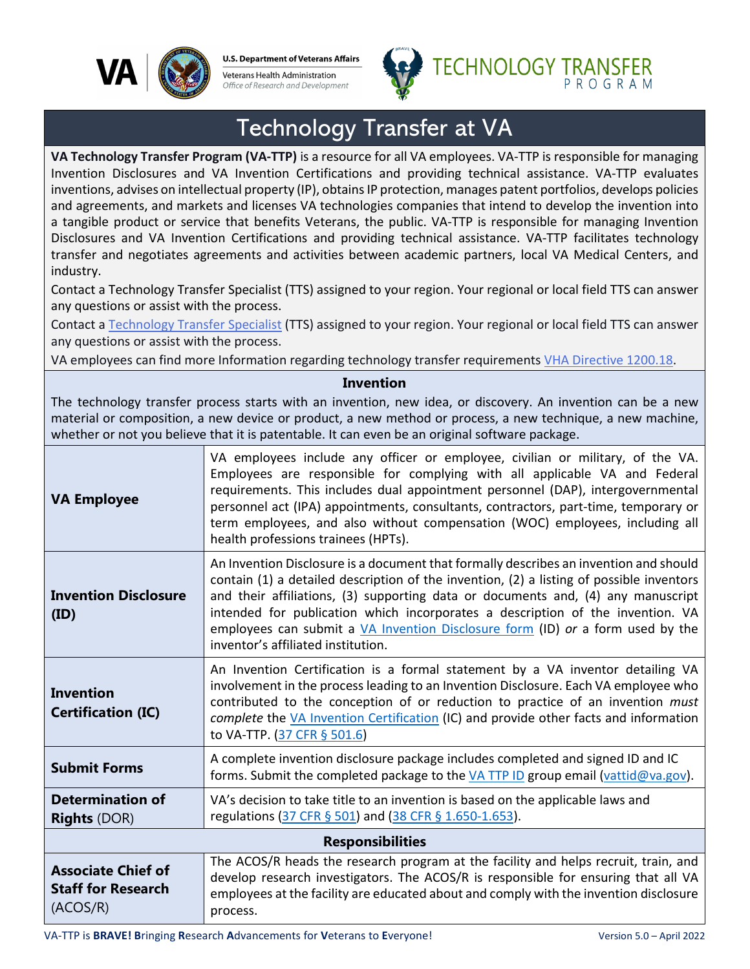

**U.S. Department of Veterans Affairs** Veterans Health Administration Office of Research and Development



## Technology Transfer at VA

**VA Technology Transfer Program (VA-TTP)** is a resource for all VA employees. VA-TTP is responsible for managing Invention Disclosures and VA Invention Certifications and providing technical assistance. VA-TTP evaluates inventions, advises on intellectual property (IP), obtains IP protection, manages patent portfolios, develops policies and agreements, and markets and licenses VA technologies companies that intend to develop the invention into a tangible product or service that benefits Veterans, the public. VA-TTP is responsible for managing Invention Disclosures and VA Invention Certifications and providing technical assistance. VA-TTP facilitates technology transfer and negotiates agreements and activities between academic partners, local VA Medical Centers, and industry.

Contact a Technology Transfer Specialist (TTS) assigned to your region. Your regional or local field TTS can answer any questions or assist with the process.

Contact a [Technology Transfer Specialist](https://www.research.va.gov/programs/tech_transfer/contacts.cfm) (TTS) assigned to your region. Your regional or local field TTS can answer any questions or assist with the process.

VA employees can find more Information regarding technology transfer requirements [VHA Directive 1200.18.](https://www.va.gov/vhapublications/ViewPublication.asp?pub_ID=4307)

## **Invention**

The technology transfer process starts with an invention, new idea, or discovery. An invention can be a new material or composition, a new device or product, a new method or process, a new technique, a new machine, whether or not you believe that it is patentable. It can even be an original software package.

| <b>VA Employee</b>                                                 | VA employees include any officer or employee, civilian or military, of the VA.<br>Employees are responsible for complying with all applicable VA and Federal<br>requirements. This includes dual appointment personnel (DAP), intergovernmental<br>personnel act (IPA) appointments, consultants, contractors, part-time, temporary or<br>term employees, and also without compensation (WOC) employees, including all<br>health professions trainees (HPTs).                   |  |
|--------------------------------------------------------------------|---------------------------------------------------------------------------------------------------------------------------------------------------------------------------------------------------------------------------------------------------------------------------------------------------------------------------------------------------------------------------------------------------------------------------------------------------------------------------------|--|
| <b>Invention Disclosure</b><br>(ID)                                | An Invention Disclosure is a document that formally describes an invention and should<br>contain (1) a detailed description of the invention, (2) a listing of possible inventors<br>and their affiliations, (3) supporting data or documents and, (4) any manuscript<br>intended for publication which incorporates a description of the invention. VA<br>employees can submit a VA Invention Disclosure form (ID) or a form used by the<br>inventor's affiliated institution. |  |
| <b>Invention</b><br><b>Certification (IC)</b>                      | An Invention Certification is a formal statement by a VA inventor detailing VA<br>involvement in the process leading to an Invention Disclosure. Each VA employee who<br>contributed to the conception of or reduction to practice of an invention must<br>complete the VA Invention Certification (IC) and provide other facts and information<br>to VA-TTP. (37 CFR § 501.6)                                                                                                  |  |
| <b>Submit Forms</b>                                                | A complete invention disclosure package includes completed and signed ID and IC<br>forms. Submit the completed package to the VA TTP ID group email (vattid@va.gov).                                                                                                                                                                                                                                                                                                            |  |
| <b>Determination of</b><br><b>Rights (DOR)</b>                     | VA's decision to take title to an invention is based on the applicable laws and<br>regulations (37 CFR § 501) and (38 CFR § 1.650-1.653).                                                                                                                                                                                                                                                                                                                                       |  |
| <b>Responsibilities</b>                                            |                                                                                                                                                                                                                                                                                                                                                                                                                                                                                 |  |
| <b>Associate Chief of</b><br><b>Staff for Research</b><br>(ACOS/R) | The ACOS/R heads the research program at the facility and helps recruit, train, and<br>develop research investigators. The ACOS/R is responsible for ensuring that all VA<br>employees at the facility are educated about and comply with the invention disclosure<br>process.                                                                                                                                                                                                  |  |